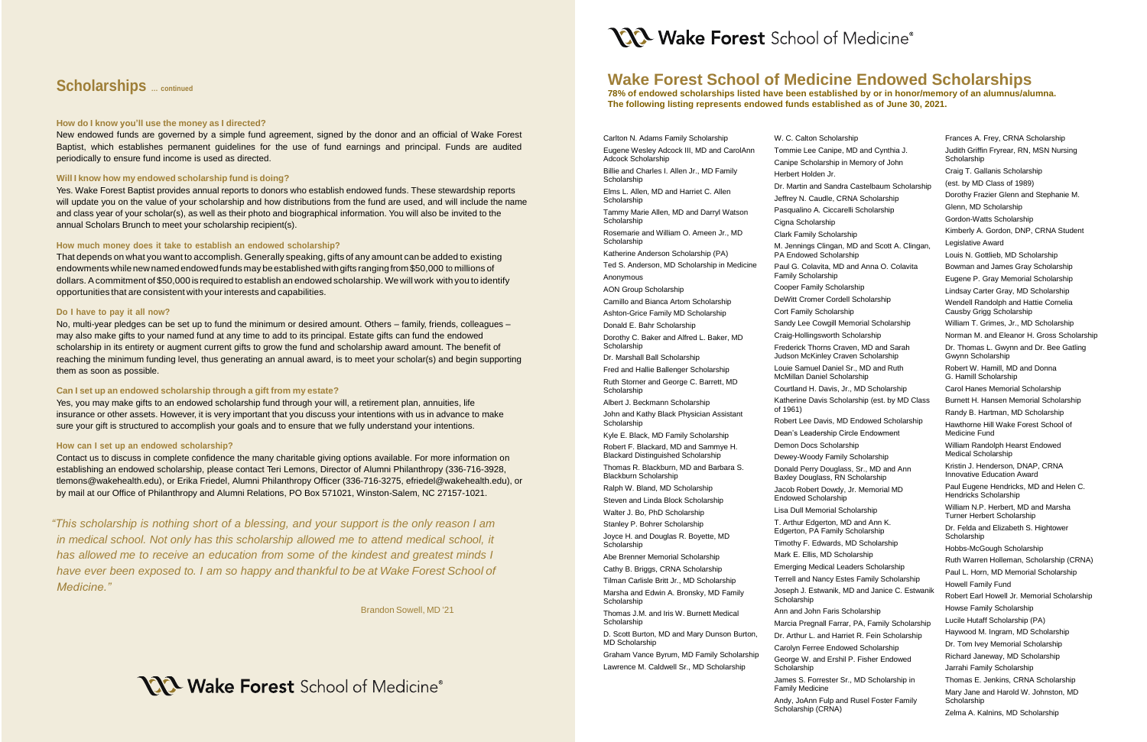# **Wake Forest School of Medicine Endowed Scholarships**

**78% of endowed scholarships listed have been established by or in honor/memory of an alumnus/alumna. The following listing represents endowed funds established as of June 30, 2021.** 

Carlton N. Adams Family Scholarship Eugene Wesley Adcock III, MD and CarolAnn Adcock Scholarship Billie and Charles I. Allen Jr., MD Family Scholarship Elms L. Allen, MD and Harriet C. Allen **Scholarship** Tammy Marie Allen, MD and Darryl Watson **Scholarship** Rosemarie and William O. Ameen Jr., MD **Scholarship** Katherine Anderson Scholarship (PA) Ted S. Anderson, MD Scholarship in Medicine Anonymous AON Group Scholarship Camillo and Bianca Artom Scholarship Ashton-Grice Family MD Scholarship Donald E. Bahr Scholarship Dorothy C. Baker and Alfred L. Baker, MD Scholarship Dr. Marshall Ball Scholarship Fred and Hallie Ballenger Scholarship Ruth Storner and George C. Barrett, MD **Scholarship** Albert J. Beckmann Scholarship John and Kathy Black Physician Assistant **Scholarship** Kyle E. Black, MD Family Scholarship Robert F. Blackard, MD and Sammye H. Blackard Distinguished Scholarship Thomas R. Blackburn, MD and Barbara S. Blackburn Scholarship Ralph W. Bland, MD Scholarship Steven and Linda Block Scholarship Walter J. Bo, PhD Scholarship Stanley P. Bohrer Scholarship Joyce H. and Douglas R. Boyette, MD **Scholarship** Abe Brenner Memorial Scholarship Cathy B. Briggs, CRNA Scholarship Tilman Carlisle Britt Jr., MD Scholarship Marsha and Edwin A. Bronsky, MD Family **Scholarship** Thomas J.M. and Iris W. Burnett Medical **Scholarship** D. Scott Burton, MD and Mary Dunson Burton,

MD Scholarship

Andy, JoAnn Fulp and Rusel Foster Family Scholarship (CRNA)

Graham Vance Byrum, MD Family Scholarship Lawrence M. Caldwell Sr., MD Scholarship

W. C. Calton Scholarship Tommie Lee Canipe, MD and Cynthia J. Canipe Scholarship in Memory of John Herbert Holden Jr. Dr. Martin and Sandra Castelbaum Scholarship Jeffrey N. Caudle, CRNA Scholarship Pasqualino A. Ciccarelli Scholarship Cigna Scholarship Clark Family Scholarship M. Jennings Clingan, MD and Scott A. Clingan, PA Endowed Scholarship Paul G. Colavita, MD and Anna O. Colavita Family Scholarship Cooper Family Scholarship

DeWitt Cromer Cordell Scholarship Cort Family Scholarship Sandy Lee Cowgill Memorial Scholarship Craig-Hollingsworth Scholarship Frederick Thorns Craven, MD and Sarah Judson McKinley Craven Scholarship Louie Samuel Daniel Sr., MD and Ruth McMillan Daniel Scholarship Courtland H. Davis, Jr., MD Scholarship Katherine Davis Scholarship (est. by MD Class of 1961) Robert Lee Davis, MD Endowed Scholarship Dean's Leadership Circle Endowment Demon Docs Scholarship Dewey-Woody Family Scholarship Donald Perry Douglass, Sr., MD and Ann Baxley Douglass, RN Scholarship Jacob Robert Dowdy, Jr. Memorial MD Endowed Scholarship Lisa Dull Memorial Scholarship T. Arthur Edgerton, MD and Ann K. Edgerton, PA Family Scholarship Timothy F. Edwards, MD Scholarship Mark E. Ellis, MD Scholarship Emerging Medical Leaders Scholarship Terrell and Nancy Estes Family Scholarship Joseph J. Estwanik, MD and Janice C. Estwanik Scholarship Ann and John Faris Scholarship Marcia Pregnall Farrar, PA, Family Scholarship Dr. Arthur L. and Harriet R. Fein Scholarship Carolyn Ferree Endowed Scholarship George W. and Ershil P. Fisher Endowed **Scholarship** James S. Forrester Sr., MD Scholarship in Family Medicine

Frances A. Frey, CRNA Scholarship Judith Griffin Fryrear, RN, MSN Nursing Scholarship Craig T. Gallanis Scholarship (est. by MD Class of 1989) Dorothy Frazier Glenn and Stephanie M. Glenn, MD Scholarship Gordon-Watts Scholarship Kimberly A. Gordon, DNP, CRNA Student Legislative Award Louis N. Gottlieb, MD Scholarship Bowman and James Gray Scholarship Eugene P. Gray Memorial Scholarship Lindsay Carter Gray, MD Scholarship Wendell Randolph and Hattie Cornelia Causby Grigg Scholarship William T. Grimes, Jr., MD Scholarship Norman M. and Eleanor H. Gross Scholarship Dr. Thomas L. Gwynn and Dr. Bee Gatling Gwynn Scholarship Robert W. Hamill, MD and Donna G. Hamill Scholarship Carol Hanes Memorial Scholarship Burnett H. Hansen Memorial Scholarship Randy B. Hartman, MD Scholarship Hawthorne Hill Wake Forest School of Medicine Fund William Randolph Hearst Endowed Medical Scholarship Kristin J. Henderson, DNAP, CRNA Innovative Education Award Paul Eugene Hendricks, MD and Helen C. Hendricks Scholarship William N.P. Herbert, MD and Marsha Turner Herbert Scholarship Dr. Felda and Elizabeth S. Hightower Scholarship Hobbs-McGough Scholarship Ruth Warren Holleman, Scholarship (CRNA) Paul L. Horn, MD Memorial Scholarship Howell Family Fund Robert Earl Howell Jr. Memorial Scholarship Howse Family Scholarship Lucile Hutaff Scholarship (PA) Haywood M. Ingram, MD Scholarship Dr. Tom Ivey Memorial Scholarship Richard Janeway, MD Scholarship Jarrahi Family Scholarship Thomas E. Jenkins, CRNA Scholarship Mary Jane and Harold W. Johnston, MD **Scholarship** Zelma A. Kalnins, MD Scholarship

## **Scholarships … continued**

### **How do I know you'll use the money as I directed?**

New endowed funds are governed by a simple fund agreement, signed by the donor and an official of Wake Forest Baptist, which establishes permanent guidelines for the use of fund earnings and principal. Funds are audited periodically to ensure fund income is used as directed.

## **Will I know how my endowed scholarship fund is doing?**

Yes. Wake Forest Baptist provides annual reports to donors who establish endowed funds. These stewardship reports will update you on the value of your scholarship and how distributions from the fund are used, and will include the name and class year of your scholar(s), as well as their photo and biographical information. You will also be invited to the annual Scholars Brunch to meet your scholarship recipient(s).

## **How much money does it take to establish an endowed scholarship?**

That depends on what you want to accomplish. Generally speaking, gifts of any amount can be added to existing endowments while new named endowed funds may be established with gifts ranging from \$50,000 to millions of dollars. A commitment of \$50,000 is required to establish an endowed scholarship. We will work with you to identify opportunities that are consistent with yourinterests and capabilities.

## **Do I have to pay it all now?**

No, multi-year pledges can be set up to fund the minimum or desired amount. Others – family, friends, colleagues – may also make gifts to your named fund at any time to add to its principal. Estate gifts can fund the endowed scholarship in its entirety or augment current gifts to grow the fund and scholarship award amount. The benefit of reaching the minimum funding level, thus generating an annual award, is to meet your scholar(s) and begin supporting them as soon as possible.

## **Can I set up an endowed scholarship through a gift from my estate?**

Yes, you may make gifts to an endowed scholarship fund through your will, a retirement plan, annuities, life insurance or other assets. However, it is very important that you discuss your intentions with us in advance to make sure your gift is structured to accomplish your goals and to ensure that we fully understand your intentions.

## **How can I set up an endowed scholarship?**

Contact us to discuss in complete confidence the many charitable giving options available. For more information on establishing an endowed scholarship, please contact Teri Lemons, Director of Alumni Philanthropy (336-716-3928, tlemons@wakehealth.edu), or Erika Friedel, Alumni Philanthropy Officer (336-716-3275, efriedel@wakehealth.edu), or by mail at our Office of Philanthropy and Alumni Relations, PO Box 571021, Winston-Salem, NC 27157-1021.

*"This scholarship is nothing short of a blessing, and your support is the only reason I am in medical school. Not only has this scholarship allowed me to attend medical school, it has allowed me to receive an education from some of the kindest and greatest minds I have ever been exposed to. I am so happy and thankful to be at Wake Forest School of Medicine."*

Brandon Sowell, MD '21

# **YXX Wake Forest** School of Medicine®

**NA Wake Forest** School of Medicine®